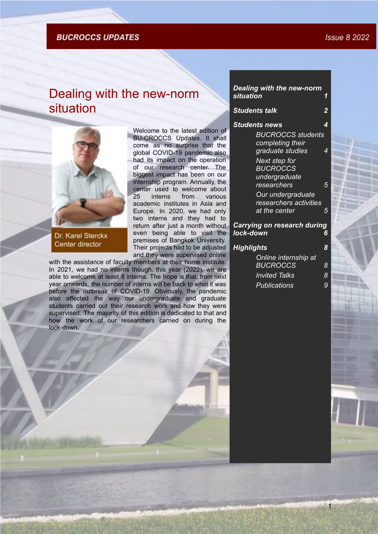### **BUCROCCS UPDATES**

# <span id="page-0-0"></span>Dealing with the new-norm situation



Dr. Karel Sterckx Center director

Welcome to the latest edition of BU-CROCCS Updates. It shall come as no surprise that the global COVID-19 pandemic also had its impact on the operation of our research center. The biggest impact has been on our internship program. Annually, the center used to welcome about 25 interns from various academic institutes in Asia and Europe. In 2020, we had only two interns and they had to return after just a month without even being able to visit the premises of Bangkok University. Their projects had to be adjusted and they were supervised online

with the assistance of faculty members at their home institute. In 2021, we had no interns though, this year (2022), we are able to welcome at least 8 interns. The hope is that, from next year onwards, the number of interns will be back to what it was before the outbreak of COVID-19. Obviously, the pandemic also affected the way our undergraduate and graduate students carried out their research work and how they were supervised. The majority of this edition is dedicated to that and how the work of our researchers carried on during the lock-down.

## *[Students talk](#page-1-0) [2](#page-1-0)* **[Students news](#page-3-0)** *[BUCROCCS students](#page-3-1) [completing their](#page-3-1) [graduate studies 4](#page-3-1) [Next step for](#page-4-0) [BUCROCCS](#page-4-0) [undergraduate](#page-4-0) [researchers 5](#page-4-0) [Our undergraduate](#page-4-1) [researchers activities](#page-4-1) [at the center 5](#page-4-1) [Carrying on research during](#page-5-0) [lock-down](#page-5-0) [6](#page-5-0) [Highlights](#page-7-0) [8](#page-7-0) [Online internship at](#page-7-1) [BUCROCCS 8](#page-7-1)*

*[Dealing with the new-norm](#page-0-0)*

 $s$ *ituation* 

| Online internship at |   |
|----------------------|---|
| <b>BUCROCCS</b>      | 8 |
| <b>Invited Talks</b> | 8 |
| <b>Publications</b>  | 9 |

1

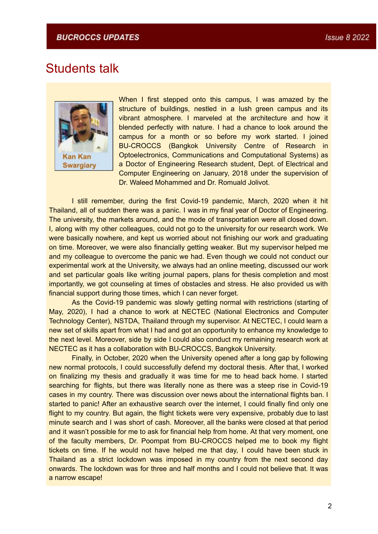## <span id="page-1-0"></span>Students talk



When I first stepped onto this campus, I was amazed by the structure of buildings, nestled in a lush green campus and its vibrant atmosphere. I marveled at the architecture and how it blended perfectly with nature. I had a chance to look around the campus for a month or so before my work started. I joined BU-CROCCS (Bangkok University Centre of Research in Optoelectronics, Communications and Computational Systems) as a Doctor of Engineering Research student, Dept. of Electrical and Computer Engineering on January, 2018 under the supervision of Dr. Waleed Mohammed and Dr. Romuald Jolivot.

I still remember, during the first Covid-19 pandemic, March, 2020 when it hit Thailand, all of sudden there was a panic. I was in my final year of Doctor of Engineering. The university, the markets around, and the mode of transportation were all closed down. I, along with my other colleagues, could not go to the university for our research work. We were basically nowhere, and kept us worried about not finishing our work and graduating on time. Moreover, we were also financially getting weaker. But my supervisor helped me and my colleague to overcome the panic we had. Even though we could not conduct our experimental work at the University, we always had an online meeting, discussed our work and set particular goals like writing journal papers, plans for thesis completion and most importantly, we got counseling at times of obstacles and stress. He also provided us with financial support during those times, which I can never forget.

As the Covid-19 pandemic was slowly getting normal with restrictions (starting of May, 2020), I had a chance to work at NECTEC (National Electronics and Computer Technology Center), NSTDA, Thailand through my supervisor. At NECTEC, I could learn a new set of skills apart from what I had and got an opportunity to enhance my knowledge to the next level. Moreover, side by side I could also conduct my remaining research work at NECTEC as it has a collaboration with BU-CROCCS, Bangkok University.

Finally, in October, 2020 when the University opened after a long gap by following new normal protocols, I could successfully defend my doctoral thesis. After that, I worked on finalizing my thesis and gradually it was time for me to head back home. I started searching for flights, but there was literally none as there was a steep rise in Covid-19 cases in my country. There was discussion over news about the international flights ban. I started to panic! After an exhaustive search over the internet, I could finally find only one flight to my country. But again, the flight tickets were very expensive, probably due to last minute search and I was short of cash. Moreover, all the banks were closed at that period and it wasn't possible for me to ask for financial help from home. At that very moment, one of the faculty members, Dr. Poompat from BU-CROCCS helped me to book my flight tickets on time. If he would not have helped me that day, I could have been stuck in Thailand as a strict lockdown was imposed in my country from the next second day onwards. The lockdown was for three and half months and I could not believe that. It was a narrow escape!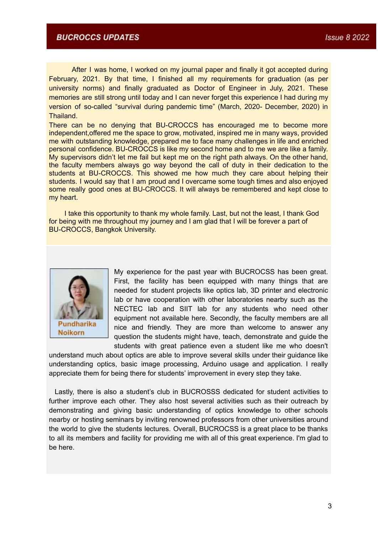### **BUCROCCS UPDATES**

After I was home, I worked on my journal paper and finally it got accepted during February, 2021. By that time, I finished all my requirements for graduation (as per university norms) and finally graduated as Doctor of Engineer in July, 2021. These memories are still strong until today and I can never forget this experience I had during my version of so-called "survival during pandemic time" (March, 2020- December, 2020) in **Thailand** 

There can be no denying that BU-CROCCS has encouraged me to become more independent,offered me the space to grow, motivated, inspired me in many ways, provided me with outstanding knowledge, prepared me to face many challenges in life and enriched personal confidence. BU-CROCCS is like my second home and to me we are like a family. My supervisors didn't let me fail but kept me on the right path always. On the other hand, the faculty members always go way beyond the call of duty in their dedication to the students at BU-CROCCS. This showed me how much they care about helping their students. I would say that I am proud and I overcame some tough times and also enjoyed some really good ones at BU-CROCCS. It will always be remembered and kept close to my heart.

I take this opportunity to thank my whole family. Last, but not the least, I thank God for being with me throughout my journey and I am glad that I will be forever a part of BU-CROCCS, Bangkok University.



My experience for the past year with BUCROCSS has been great. First, the facility has been equipped with many things that are needed for student projects like optics lab, 3D printer and electronic lab or have cooperation with other laboratories nearby such as the NECTEC lab and SIIT lab for any students who need other equipment not available here. Secondly, the faculty members are all nice and friendly. They are more than welcome to answer any question the students might have, teach, demonstrate and guide the students with great patience even a student like me who doesn't

understand much about optics are able to improve several skills under their guidance like understanding optics, basic image processing, Arduino usage and application. I really appreciate them for being there for students' improvement in every step they take.

Lastly, there is also a student's club in BUCROSSS dedicated for student activities to further improve each other. They also host several activities such as their outreach by demonstrating and giving basic understanding of optics knowledge to other schools nearby or hosting seminars by inviting renowned professors from other universities around the world to give the students lectures. Overall, BUCROCSS is a great place to be thanks to all its members and facility for providing me with all of this great experience. I'm glad to be here.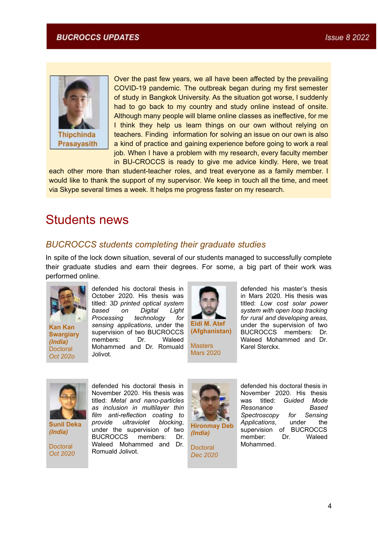

Over the past few years, we all have been affected by the prevailing COVID-19 pandemic. The outbreak began during my first semester of study in Bangkok University. As the situation got worse, I suddenly had to go back to my country and study online instead of onsite. Although many people will blame online classes as ineffective, for me I think they help us learn things on our own without relying on teachers. Finding information for solving an issue on our own is also a kind of practice and gaining experience before going to work a real job. When I have a problem with my research, every faculty member

in BU-CROCCS is ready to give me advice kindly. Here, we treat each other more than student-teacher roles, and treat everyone as a family member. I would like to thank the support of my supervisor. We keep in touch all the time, and meet via Skype several times a week. It helps me progress faster on my research.

# <span id="page-3-0"></span>Students news

## <span id="page-3-1"></span>*BUCROCCS students completing their graduate studies*

In spite of the lock down situation, several of our students managed to successfully complete their graduate studies and earn their degrees. For some, a big part of their work was performed online.



**Kan Kan Swargiary** *(India)* **Doctoral** *Oct 202o*

defended his doctoral thesis in October 2020. His thesis was titled: *3D printed optical system based on Digital Light Processing technology for sensing applications*, under the supervision of two BUCROCCS members: Dr. Waleed Mohammed and Dr. Romuald Jolivot.



**Masters** Mars 2020

defended his master's thesis in Mars 2020. His thesis was titled: *Low cost solar power system with open loop tracking for rural and developing areas*, under the supervision of two BUCROCCS members: Dr. Waleed Mohammed and Dr. Karel Sterckx.



**Sunil Deka** *(India)*

**Doctoral** *Oct 2020*

defended his doctoral thesis in November 2020. His thesis was titled: *Metal and nano-particles as inclusion in multilayer thin film anti-reflection coating to providet blocking*, under the supervision of two BUCROCCS members: Dr. Waleed Mohammed and Dr. Romuald Jolivot.



**Hironmay Deb** *(India)*

**Doctoral** *Dec 2020*

defended his doctoral thesis in November 2020. His thesis<br>was titled: Guided Mode was titled: *Guided Mode Resonance Based Spectroscopy for Sensing Applications*, under the supervision of BUCROCCS member: Dr. Waleed Mohammed.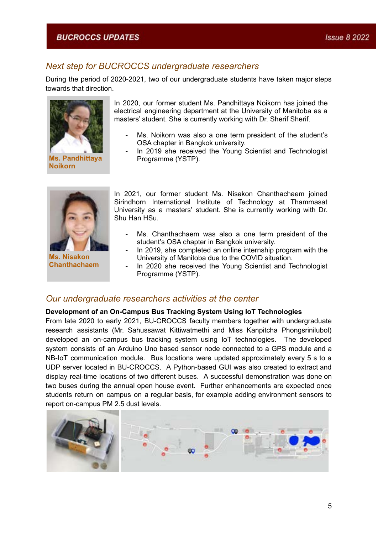## <span id="page-4-0"></span>*Next step for BUCROCCS undergraduate researchers*

During the period of 2020-2021, two of our undergraduate students have taken major steps towards that direction.



**Ms. Pandhittaya Noikorn**

In 2020, our former student Ms. Pandhittaya Noikorn has joined the electrical engineering department at the University of Manitoba as a masters' student. She is currently working with Dr. Sherif Sherif.

- Ms. Noikorn was also a one term president of the student's OSA chapter in Bangkok university.
- In 2019 she received the Young Scientist and Technologist Programme (YSTP).



**Ms. Nisakon Chanthachaem**

In 2021, our former student Ms. Nisakon Chanthachaem joined Sirindhorn International Institute of Technology at Thammasat University as a masters' student. She is currently working with Dr. Shu Han HSu.

- Ms. Chanthachaem was also a one term president of the student's OSA chapter in Bangkok university.
- In 2019, she completed an online internship program with the University of Manitoba due to the COVID situation.
- In 2020 she received the Young Scientist and Technologist Programme (YSTP).

### <span id="page-4-1"></span>*Our undergraduate researchers activities at the center*

#### **Development of an On-Campus Bus Tracking System Using IoT Technologies**

From late 2020 to early 2021, BU-CROCCS faculty members together with undergraduate research assistants (Mr. Sahussawat Kittiwatmethi and Miss Kanpitcha Phongsrinilubol) developed an on-campus bus tracking system using IoT technologies. The developed system consists of an Arduino Uno based sensor node connected to a GPS module and a NB-IoT communication module. Bus locations were updated approximately every 5 s to a UDP server located in BU-CROCCS. A Python-based GUI was also created to extract and display real-time locations of two different buses. A successful demonstration was done on two buses during the annual open house event. Further enhancements are expected once students return on campus on a regular basis, for example adding environment sensors to report on-campus PM 2.5 dust levels.

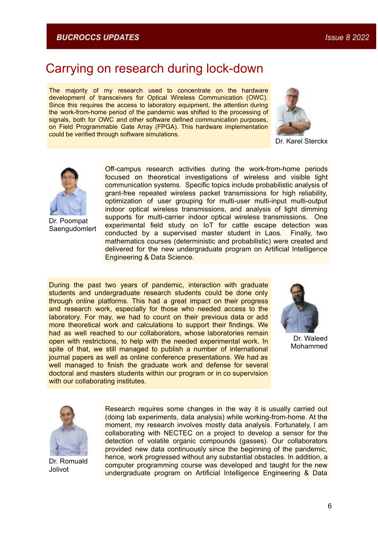## <span id="page-5-0"></span>Carrying on research during lock-down

The majority of my research used to concentrate on the hardware development of transceivers for Optical Wireless Communication (OWC). Since this requires the access to laboratory equipment, the attention during the work-from-home period of the pandemic was shifted to the processing of signals, both for OWC and other software defined communication purposes, on Field Programmable Gate Array (FPGA). This hardware implementation could be verified through software simulations.



Dr. Karel Sterckx



Dr. Poompat Saengudomlert

Off-campus research activities during the work-from-home periods focused on theoretical investigations of wireless and visible light communication systems. Specific topics include probabilistic analysis of grant-free repeated wireless packet transmissions for high reliability, optimization of user grouping for multi-user multi-input multi-output indoor optical wireless transmissions, and analysis of light dimming supports for multi-carrier indoor optical wireless transmissions. One experimental field study on IoT for cattle escape detection was conducted by a supervised master student in Laos. Finally, two mathematics courses (deterministic and probabilistic) were created and delivered for the new undergraduate program on Artificial Intelligence Engineering & Data Science.

During the past two years of pandemic, interaction with graduate students and undergraduate research students could be done only through online platforms. This had a great impact on their progress and research work, especially for those who needed access to the laboratory. For may, we had to count on their previous data or add more theoretical work and calculations to support their findings. We had as well reached to our collaborators, whose laboratories remain open with restrictions, to help with the needed experimental work. In spite of that, we still managed to publish a number of international journal papers as well as online conference presentations. We had as well managed to finish the graduate work and defense for several doctoral and masters students within our program or in co supervision with our collaborating institutes.



Dr. Waleed Mohammed



Dr. Romuald Jolivot

Research requires some changes in the way it is usually carried out (doing lab experiments, data analysis) while working-from-home. At the moment, my research involves mostly data analysis. Fortunately, I am collaborating with NECTEC on a project to develop a sensor for the detection of volatile organic compounds (gasses). Our collaborators provided new data continuously since the beginning of the pandemic, hence, work progressed without any substantial obstacles. In addition, a computer programming course was developed and taught for the new undergraduate program on Artificial Intelligence Engineering & Data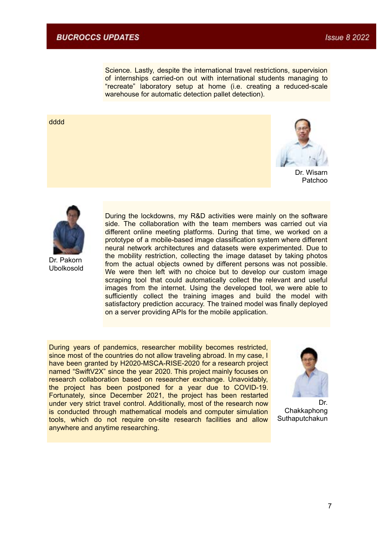Science. Lastly, despite the international travel restrictions, supervision of internships carried-on out with international students managing to "recreate" laboratory setup at home (i.e. creating a reduced-scale warehouse for automatic detection pallet detection).

#### dddd



Dr. Wisarn Patchoo



Dr. Pakorn Ubolkosold During the lockdowns, my R&D activities were mainly on the software side. The collaboration with the team members was carried out via different online meeting platforms. During that time, we worked on a prototype of a mobile-based image classification system where different neural network architectures and datasets were experimented. Due to the mobility restriction, collecting the image dataset by taking photos from the actual objects owned by different persons was not possible. We were then left with no choice but to develop our custom image scraping tool that could automatically collect the relevant and useful images from the internet. Using the developed tool, we were able to sufficiently collect the training images and build the model with satisfactory prediction accuracy. The trained model was finally deployed on a server providing APIs for the mobile application.

During years of pandemics, researcher mobility becomes restricted, since most of the countries do not allow traveling abroad. In my case, I have been granted by H2020-MSCA-RISE-2020 for a research project named "SwiftV2X" since the year 2020. This project mainly focuses on research collaboration based on researcher exchange. Unavoidably, the project has been postponed for a year due to COVID-19. Fortunately, since December 2021, the project has been restarted under very strict travel control. Additionally, most of the research now is conducted through mathematical models and computer simulation tools, which do not require on-site research facilities and allow anywhere and anytime researching.



Dr. Chakkaphong **Suthaputchakun**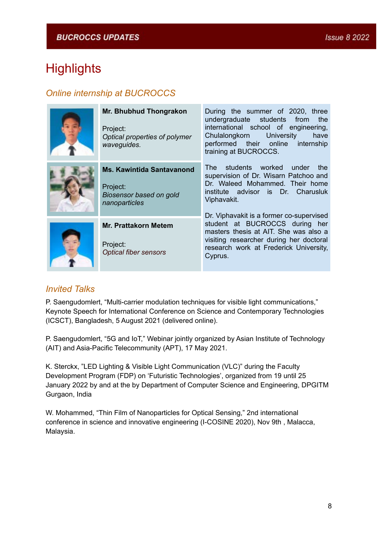# <span id="page-7-0"></span>**Highlights**

## <span id="page-7-1"></span>*Online internship at BUCROCCS*

| Mr. Bhubhud Thongrakon<br>Project:<br>Optical properties of polymer<br>waveguides.       | During the summer of 2020, three<br>undergraduate students from<br>the<br>international school of engineering,<br>Chulalongkorn University<br>have<br>performed their online internship<br>training at BUCROCCS.    |
|------------------------------------------------------------------------------------------|---------------------------------------------------------------------------------------------------------------------------------------------------------------------------------------------------------------------|
| <b>Ms. Kawintida Santavanond</b><br>Project:<br>Biosensor based on gold<br>nanoparticles | The students worked<br>under the<br>supervision of Dr. Wisarn Patchoo and<br>Dr. Waleed Mohammed. Their home<br>institute advisor is Dr. Charusluk<br>Viphavakit.                                                   |
| <b>Mr. Prattakorn Metem</b><br>Project:<br><b>Optical fiber sensors</b>                  | Dr. Viphavakit is a former co-supervised<br>student at BUCROCCS during her<br>masters thesis at AIT. She was also a<br>visiting researcher during her doctoral<br>research work at Frederick University,<br>Cyprus. |

## <span id="page-7-2"></span>*Invited Talks*

P. Saengudomlert, "Multi-carrier modulation techniques for visible light communications," Keynote Speech for International Conference on Science and Contemporary Technologies (ICSCT), Bangladesh, 5 August 2021 (delivered online).

P. Saengudomlert, "5G and IoT," Webinar jointly organized by Asian Institute of Technology (AIT) and Asia-Pacific Telecommunity (APT), 17 May 2021.

K. Sterckx, "LED Lighting & Visible Light Communication (VLC)" during the Faculty Development Program (FDP) on 'Futuristic Technologies', organized from 19 until 25 January 2022 by and at the by Department of Computer Science and Engineering, DPGITM Gurgaon, India

W. Mohammed, "Thin Film of Nanoparticles for Optical Sensing," 2nd international conference in science and innovative engineering (I-COSINE 2020), Nov 9th , Malacca, Malaysia.